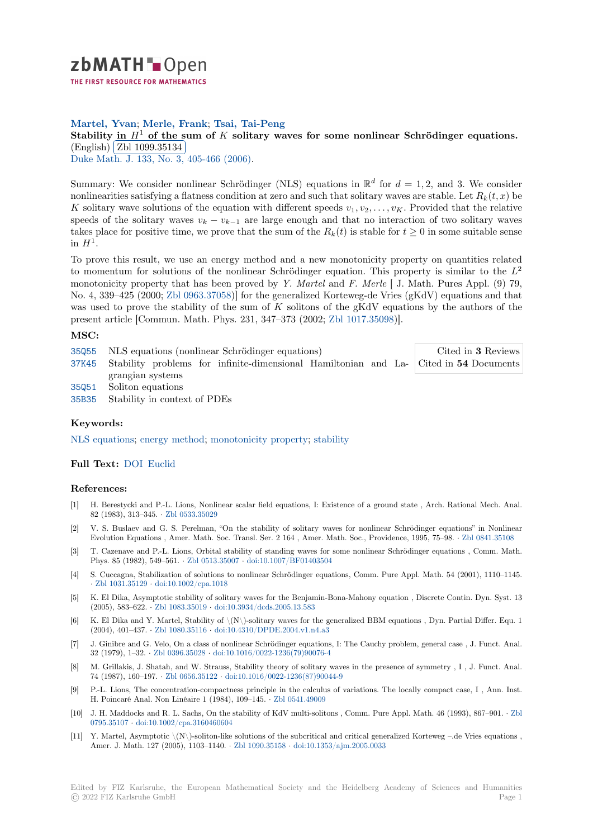

**Martel, Yvan**; **Merle, Frank**; **Tsai, Tai-Peng**

**[S](https://zbmath.org/)tability** in  $H^1$  of the sum of *K* solitary waves for some nonlinear Schrödinger equations.  $\frac{3\times 36}{\text{English}} \frac{11}{\text{Zbl}} \frac{1099.35134}{1099.35134}$ 

Duke Math. J. 133, No. 3, 405-466 (2006).

[Summary: We consider nonlinear Schrödinger \(NLS\) equations in](https://zbmath.org/1099.35134)  $\mathbb{R}^d$  for  $d = 1, 2$ , and 3. We consider nonlinear[ities satisfying a fla](https://zbmath.org/1099.35134)tness condition at zero and such that solitary waves are stable. Let  $R_k(t, x)$  be *K* [solitary wav](https://zbmath.org/journals/?q=se:411)[e solutions of the equation](https://zbmath.org/?q=in:184946) with different speeds  $v_1, v_2, \ldots, v_K$ . Provided that the relative speeds of the solitary waves  $v_k - v_{k-1}$  are large enough and that no interaction of two solitary waves takes place for positive time, we prove that the sum of the  $R_k(t)$  is stable for  $t \geq 0$  in some suitable sense in  $H^1$ .

To prove this result, we use an energy method and a new monotonicity property on quantities related to momentum for solutions of the nonlinear Schrödinger equation. This property is similar to the *L* 2 monotonicity property that has been proved by *Y. Martel* and *F. Merle* [ J. Math. Pures Appl. (9) 79, No. 4, 339–425 (2000; Zbl 0963.37058)] for the generalized Korteweg-de Vries (gKdV) equations and that was used to prove the stability of the sum of *K* solitons of the gKdV equations by the authors of the present article [Commun. Math. Phys. 231, 347–373 (2002; Zbl 1017.35098)].

## **MSC:**

| 35055 NLS equations (nonlinear Schrödinger equations)                                       | Cited in 3 Reviews |
|---------------------------------------------------------------------------------------------|--------------------|
| 37K45 Stability problems for infinite-dimensional Hamiltonian and La- Cited in 54 Documents |                    |
| grangian systems                                                                            |                    |
| 35051 Soliton equations                                                                     |                    |
| 35B35 Stability in context of PDEs                                                          |                    |
|                                                                                             |                    |

## **[Keyw](https://zbmath.org/classification/?q=cc:37K45)ords:**

[NLS e](https://zbmath.org/classification/?q=cc:35Q51)quations; energy method; monotonicity property; stability

## **Full Text:** DOI Euclid

## **[References:](https://zbmath.org/?q=ut:NLS+equations)**

- [1] H. Berestycki and P.-L. Lions, Nonlinear scalar field equations, I: Existence of a ground state , Arch. Rational Mech. Anal. 82 (1983)[, 313–](https://dx.doi.org/10.1215/S0012-7094-06-13331-8)[345.](https://projecteuclid.org/euclid.dmj/1150201198) *·* Zbl 0533.35029
- [2] V. S. Buslaev and G. S. Perelman, "On the stability of solitary waves for nonlinear Schrödinger equations" in Nonlinear Evolution Equations , Amer. Math. Soc. Transl. Ser. 2 164 , Amer. Math. Soc., Providence, 1995, 75–98. *·* Zbl 0841.35108
- [3] T. Cazenave and P.-L. Lions, Orbital stability of standing waves for some nonlinear Schrödinger equations , Comm. Math. Phys. 85 (1982), 549–561. *·* [Zbl 0513](https://zbmath.org/0533.35029).35007 *·* doi:10.1007/BF01403504
- [4] S. Cuccagna, Stabilization of solutions to nonlinear Schrödinger equations, Comm. Pure Appl. Math. 54 (2001), 1110–1145. *·* Zbl 1031.35129 *·* doi:10.1002/cpa.1018
- [5] K. El Dika, Asymptotic stability of solitary waves for the Benjamin-Bona-Mahony equation , Discrete Contin. Dyn. Syst. 13 (2005), 583–622. *·* Zbl 1083.35019 *·* [doi:10.3](https://zbmath.org/0513.35007)9[34/dcds.2005.13.583](https://dx.doi.org/10.1007/BF01403504)
- [6] K. El Dika and Y. Martel, Stability of \(N\)-solitary waves for the generalized BBM equations , Dyn. Partial Differ. Equ. 1 ([2004\), 401–437.](https://zbmath.org/1031.35129) *·* [Zbl 1080.35116](https://dx.doi.org/10.1002/cpa.1018) *·* doi:10.4310/DPDE.2004.v1.n4.a3
- [7] J. Ginibre and G. Velo, On a class of nonlinear Schrödinger equations, I: The Cauchy problem, general case , J. Funct. Anal. 32 (1979), 1–32. *·* [Zbl 0396.35028](https://zbmath.org/1083.35019) *·* [doi:10.1016/0022-1236\(79\)900](https://dx.doi.org/10.3934/dcds.2005.13.583)76-4
- [8] M. Grillakis, J. Shatah, and W. Strauss, Stability theory of solitary waves in the presence of symmetry , I , J. Funct. Anal. 74 (1987), 160–197. *·* [Zbl 0656.351](https://zbmath.org/1080.35116)22 *·* [doi:10.1016/0022-1236\(87\)9004](https://dx.doi.org/10.4310/DPDE.2004.v1.n4.a3)4-9
- [9] P.-L. Lions, The concentration-compactness principle in the calculus of variations. The locally compact case, I , Ann. Inst. H. Poincaré Anal. [Non Linéaire 1](https://zbmath.org/0396.35028)([1984\), 109–145.](https://dx.doi.org/10.1016/0022-1236(79)90076-4) *·* Zbl 0541.49009
- [10] J. H. Maddocks and R. L. Sachs, On the stability of KdV multi-solitons , Comm. Pure Appl. Math. 46 (1993), 867–901. *·* Zbl 0795.35107 *·* doi:10.1[002/cpa.3160460](https://zbmath.org/0656.35122)6[04](https://dx.doi.org/10.1016/0022-1236(87)90044-9)
- [11] Y. Martel, Asymptotic \(N\)-soliton-like solutions of the subcritical and critical generalized Korteweg –.de Vries equations , Amer. J. Math. 127 (2005), 1103–1140. *·* Zbl 1090.35158 *·* [doi:10.135](https://zbmath.org/0541.49009)3/ajm.2005.0033